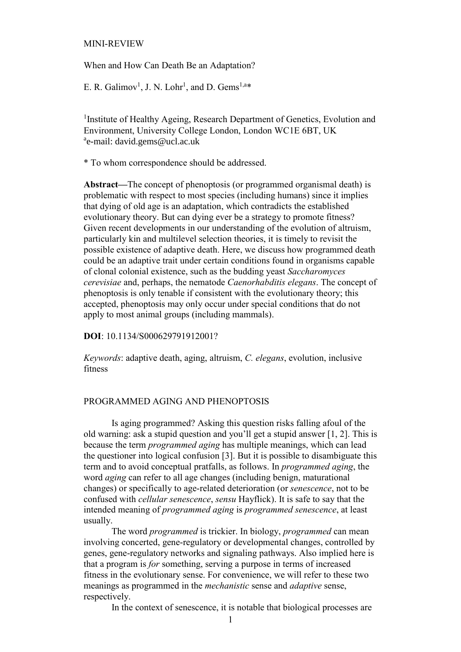#### MINI-REVIEW

When and How Can Death Be an Adaptation?

E. R. Galimov<sup>1</sup>, J. N. Lohr<sup>1</sup>, and D. Gems<sup>1,a\*</sup>

<sup>1</sup> Institute of Healthy Ageing, Research Department of Genetics, Evolution and Environment, University College London, London WC1E 6BT, UK <sup>a</sup>e-mail: david.gems@ucl.ac.uk

\* To whom correspondence should be addressed.

**Abstract—**The concept of phenoptosis (or programmed organismal death) is problematic with respect to most species (including humans) since it implies that dying of old age is an adaptation, which contradicts the established evolutionary theory. But can dying ever be a strategy to promote fitness? Given recent developments in our understanding of the evolution of altruism, particularly kin and multilevel selection theories, it is timely to revisit the possible existence of adaptive death. Here, we discuss how programmed death could be an adaptive trait under certain conditions found in organisms capable of clonal colonial existence, such as the budding yeast *Saccharomyces cerevisiae* and, perhaps, the nematode *Caenorhabditis elegans*. The concept of phenoptosis is only tenable if consistent with the evolutionary theory; this accepted, phenoptosis may only occur under special conditions that do not apply to most animal groups (including mammals).

**DOI**: 10.1134/S000629791912001?

*Keywords*: adaptive death, aging, altruism, *C. elegans*, evolution, inclusive fitness

### PROGRAMMED AGING AND PHENOPTOSIS

Is aging programmed? Asking this question risks falling afoul of the old warning: ask a stupid question and you'll get a stupid answer [1, 2]. This is because the term *programmed aging* has multiple meanings, which can lead the questioner into logical confusion [3]. But it is possible to disambiguate this term and to avoid conceptual pratfalls, as follows. In *programmed aging*, the word *aging* can refer to all age changes (including benign, maturational changes) or specifically to age-related deterioration (or *senescence*, not to be confused with *cellular senescence*, *sensu* Hayflick). It is safe to say that the intended meaning of *programmed aging* is *programmed senescence*, at least usually.

The word *programmed* is trickier. In biology, *programmed* can mean involving concerted, gene-regulatory or developmental changes, controlled by genes, gene-regulatory networks and signaling pathways. Also implied here is that a program is *for* something, serving a purpose in terms of increased fitness in the evolutionary sense. For convenience, we will refer to these two meanings as programmed in the *mechanistic* sense and *adaptive* sense, respectively.

In the context of senescence, it is notable that biological processes are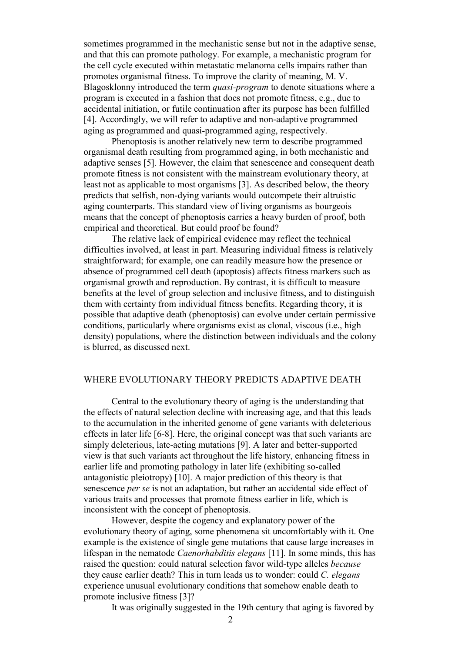sometimes programmed in the mechanistic sense but not in the adaptive sense, and that this can promote pathology. For example, a mechanistic program for the cell cycle executed within metastatic melanoma cells impairs rather than promotes organismal fitness. To improve the clarity of meaning, M. V. Blagosklonny introduced the term *quasi-program* to denote situations where a program is executed in a fashion that does not promote fitness, e.g., due to accidental initiation, or futile continuation after its purpose has been fulfilled [4]. Accordingly, we will refer to adaptive and non-adaptive programmed aging as programmed and quasi-programmed aging, respectively.

Phenoptosis is another relatively new term to describe programmed organismal death resulting from programmed aging, in both mechanistic and adaptive senses [5]. However, the claim that senescence and consequent death promote fitness is not consistent with the mainstream evolutionary theory, at least not as applicable to most organisms [3]. As described below, the theory predicts that selfish, non-dying variants would outcompete their altruistic aging counterparts. This standard view of living organisms as bourgeois means that the concept of phenoptosis carries a heavy burden of proof, both empirical and theoretical. But could proof be found?

The relative lack of empirical evidence may reflect the technical difficulties involved, at least in part. Measuring individual fitness is relatively straightforward; for example, one can readily measure how the presence or absence of programmed cell death (apoptosis) affects fitness markers such as organismal growth and reproduction. By contrast, it is difficult to measure benefits at the level of group selection and inclusive fitness, and to distinguish them with certainty from individual fitness benefits. Regarding theory, it is possible that adaptive death (phenoptosis) can evolve under certain permissive conditions, particularly where organisms exist as clonal, viscous (i.e., high density) populations, where the distinction between individuals and the colony is blurred, as discussed next.

# WHERE EVOLUTIONARY THEORY PREDICTS ADAPTIVE DEATH

Central to the evolutionary theory of aging is the understanding that the effects of natural selection decline with increasing age, and that this leads to the accumulation in the inherited genome of gene variants with deleterious effects in later life [6-8]. Here, the original concept was that such variants are simply deleterious, late-acting mutations [9]. A later and better-supported view is that such variants act throughout the life history, enhancing fitness in earlier life and promoting pathology in later life (exhibiting so-called antagonistic pleiotropy) [10]. A major prediction of this theory is that senescence *per se* is not an adaptation, but rather an accidental side effect of various traits and processes that promote fitness earlier in life, which is inconsistent with the concept of phenoptosis.

However, despite the cogency and explanatory power of the evolutionary theory of aging, some phenomena sit uncomfortably with it. One example is the existence of single gene mutations that cause large increases in lifespan in the nematode *Caenorhabditis elegans* [11]. In some minds, this has raised the question: could natural selection favor wild-type alleles *because* they cause earlier death? This in turn leads us to wonder: could *C. elegans* experience unusual evolutionary conditions that somehow enable death to promote inclusive fitness [3]?

It was originally suggested in the 19th century that aging is favored by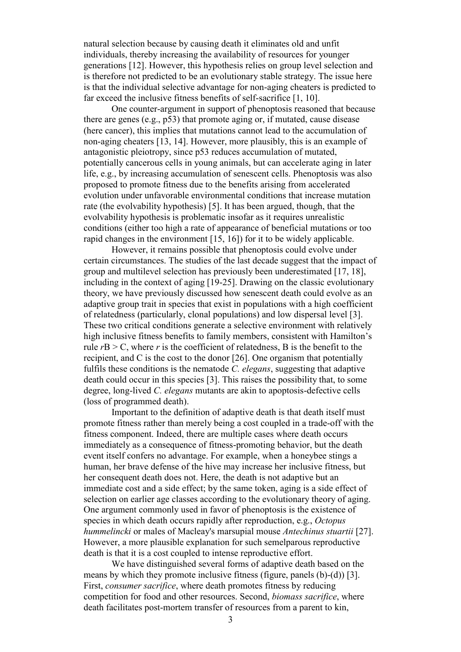natural selection because by causing death it eliminates old and unfit individuals, thereby increasing the availability of resources for younger generations [12]. However, this hypothesis relies on group level selection and is therefore not predicted to be an evolutionary stable strategy. The issue here is that the individual selective advantage for non-aging cheaters is predicted to far exceed the inclusive fitness benefits of self-sacrifice [1, 10].

One counter-argument in support of phenoptosis reasoned that because there are genes (e.g., p53) that promote aging or, if mutated, cause disease (here cancer), this implies that mutations cannot lead to the accumulation of non-aging cheaters [13, 14]. However, more plausibly, this is an example of antagonistic pleiotropy, since p53 reduces accumulation of mutated, potentially cancerous cells in young animals, but can accelerate aging in later life, e.g., by increasing accumulation of senescent cells. Phenoptosis was also proposed to promote fitness due to the benefits arising from accelerated evolution under unfavorable environmental conditions that increase mutation rate (the evolvability hypothesis) [5]. It has been argued, though, that the evolvability hypothesis is problematic insofar as it requires unrealistic conditions (either too high a rate of appearance of beneficial mutations or too rapid changes in the environment [15, 16]) for it to be widely applicable.

However, it remains possible that phenoptosis could evolve under certain circumstances. The studies of the last decade suggest that the impact of group and multilevel selection has previously been underestimated [17, 18], including in the context of aging [19-25]. Drawing on the classic evolutionary theory, we have previously discussed how senescent death could evolve as an adaptive group trait in species that exist in populations with a high coefficient of relatedness (particularly, clonal populations) and low dispersal level [3]. These two critical conditions generate a selective environment with relatively high inclusive fitness benefits to family members, consistent with Hamilton's rule  $rB > C$ , where r is the coefficient of relatedness, B is the benefit to the recipient, and C is the cost to the donor [26]. One organism that potentially fulfils these conditions is the nematode *C. elegans*, suggesting that adaptive death could occur in this species [3]. This raises the possibility that, to some degree, long-lived *C. elegans* mutants are akin to apoptosis-defective cells (loss of programmed death).

Important to the definition of adaptive death is that death itself must promote fitness rather than merely being a cost coupled in a trade-off with the fitness component. Indeed, there are multiple cases where death occurs immediately as a consequence of fitness-promoting behavior, but the death event itself confers no advantage. For example, when a honeybee stings a human, her brave defense of the hive may increase her inclusive fitness, but her consequent death does not. Here, the death is not adaptive but an immediate cost and a side effect; by the same token, aging is a side effect of selection on earlier age classes according to the evolutionary theory of aging. One argument commonly used in favor of phenoptosis is the existence of species in which death occurs rapidly after reproduction, e.g., *Octopus hummelincki* or males of Macleay's marsupial mouse *Antechinus stuartii* [27]. However, a more plausible explanation for such semelparous reproductive death is that it is a cost coupled to intense reproductive effort.

We have distinguished several forms of adaptive death based on the means by which they promote inclusive fitness (figure, panels (b)-(d)) [3]. First, *consumer sacrifice*, where death promotes fitness by reducing competition for food and other resources. Second, *biomass sacrifice*, where death facilitates post-mortem transfer of resources from a parent to kin,

3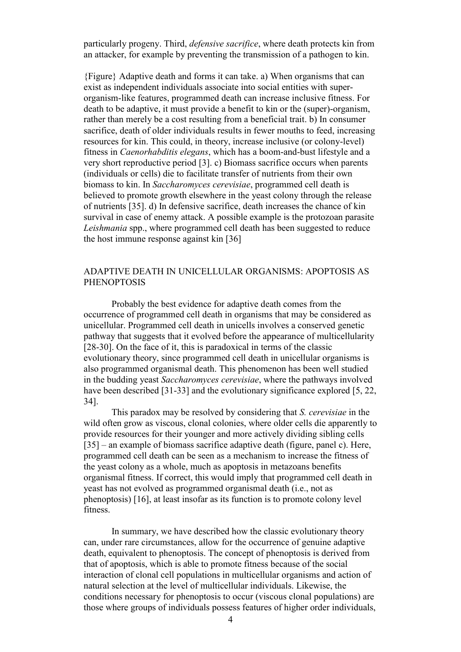particularly progeny. Third, *defensive sacrifice*, where death protects kin from an attacker, for example by preventing the transmission of a pathogen to kin.

{Figure} Adaptive death and forms it can take. a) When organisms that can exist as independent individuals associate into social entities with superorganism-like features, programmed death can increase inclusive fitness. For death to be adaptive, it must provide a benefit to kin or the (super)-organism, rather than merely be a cost resulting from a beneficial trait. b) In consumer sacrifice, death of older individuals results in fewer mouths to feed, increasing resources for kin. This could, in theory, increase inclusive (or colony-level) fitness in *Caenorhabditis elegans*, which has a boom-and-bust lifestyle and a very short reproductive period [3]. c) Biomass sacrifice occurs when parents (individuals or cells) die to facilitate transfer of nutrients from their own biomass to kin. In *Saccharomyces cerevisiae*, programmed cell death is believed to promote growth elsewhere in the yeast colony through the release of nutrients [35]. d) In defensive sacrifice, death increases the chance of kin survival in case of enemy attack. A possible example is the protozoan parasite *Leishmania* spp., where programmed cell death has been suggested to reduce the host immune response against kin [36]

## ADAPTIVE DEATH IN UNICELLULAR ORGANISMS: APOPTOSIS AS PHENOPTOSIS

Probably the best evidence for adaptive death comes from the occurrence of programmed cell death in organisms that may be considered as unicellular. Programmed cell death in unicells involves a conserved genetic pathway that suggests that it evolved before the appearance of multicellularity [28-30]. On the face of it, this is paradoxical in terms of the classic evolutionary theory, since programmed cell death in unicellular organisms is also programmed organismal death. This phenomenon has been well studied in the budding yeast *Saccharomyces cerevisiae*, where the pathways involved have been described [31-33] and the evolutionary significance explored [5, 22, 34].

This paradox may be resolved by considering that *S. cerevisiae* in the wild often grow as viscous, clonal colonies, where older cells die apparently to provide resources for their younger and more actively dividing sibling cells [35] – an example of biomass sacrifice adaptive death (figure, panel c). Here, programmed cell death can be seen as a mechanism to increase the fitness of the yeast colony as a whole, much as apoptosis in metazoans benefits organismal fitness. If correct, this would imply that programmed cell death in yeast has not evolved as programmed organismal death (i.e., not as phenoptosis) [16], at least insofar as its function is to promote colony level fitness.

In summary, we have described how the classic evolutionary theory can, under rare circumstances, allow for the occurrence of genuine adaptive death, equivalent to phenoptosis. The concept of phenoptosis is derived from that of apoptosis, which is able to promote fitness because of the social interaction of clonal cell populations in multicellular organisms and action of natural selection at the level of multicellular individuals. Likewise, the conditions necessary for phenoptosis to occur (viscous clonal populations) are those where groups of individuals possess features of higher order individuals,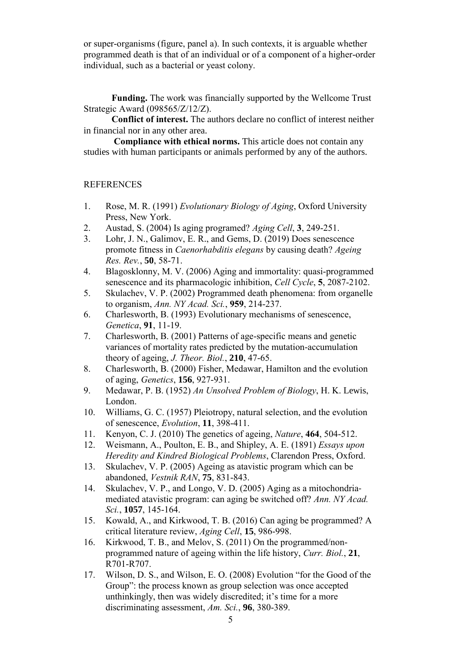or super-organisms (figure, panel a). In such contexts, it is arguable whether programmed death is that of an individual or of a component of a higher-order individual, such as a bacterial or yeast colony.

**Funding.** The work was financially supported by the Wellcome Trust Strategic Award (098565/Z/12/Z).

**Conflict of interest.** The authors declare no conflict of interest neither in financial nor in any other area.

**Compliance with ethical norms.** This article does not contain any studies with human participants or animals performed by any of the authors.

### **REFERENCES**

- 1. Rose, M. R. (1991) *Evolutionary Biology of Aging*, Oxford University Press, New York.
- 2. Austad, S. (2004) Is aging programed? *Aging Cell*, **3**, 249-251.
- 3. Lohr, J. N., Galimov, E. R., and Gems, D. (2019) Does senescence promote fitness in *Caenorhabditis elegans* by causing death? *Ageing Res. Rev.*, **50**, 58-71.
- 4. Blagosklonny, M. V. (2006) Aging and immortality: quasi-programmed senescence and its pharmacologic inhibition, *Cell Cycle*, **5**, 2087-2102.
- 5. Skulachev, V. P. (2002) Programmed death phenomena: from organelle to organism, *Ann. NY Acad. Sci.*, **959**, 214-237.
- 6. Charlesworth, B. (1993) Evolutionary mechanisms of senescence, *Genetica*, **91**, 11-19.
- 7. Charlesworth, B. (2001) Patterns of age-specific means and genetic variances of mortality rates predicted by the mutation-accumulation theory of ageing, *J. Theor. Biol.*, **210**, 47-65.
- 8. Charlesworth, B. (2000) Fisher, Medawar, Hamilton and the evolution of aging, *Genetics*, **156**, 927-931.
- 9. Medawar, P. B. (1952) *An Unsolved Problem of Biology*, H. K. Lewis, London.
- 10. Williams, G. C. (1957) Pleiotropy, natural selection, and the evolution of senescence, *Evolution*, **11**, 398-411.
- 11. Kenyon, C. J. (2010) The genetics of ageing, *Nature*, **464**, 504-512.
- 12. Weismann, A., Poulton, E. B., and Shipley, A. E. (1891) *Essays upon Heredity and Kindred Biological Problems*, Clarendon Press, Oxford.
- 13. Skulachev, V. P. (2005) Ageing as atavistic program which can be abandoned, *Vestnik RAN*, **75**, 831-843.
- 14. Skulachev, V. P., and Longo, V. D. (2005) Aging as a mitochondria‐ mediated atavistic program: can aging be switched off? *Ann. NY Acad. Sci.*, **1057**, 145-164.
- 15. Kowald, A., and Kirkwood, T. B. (2016) Can aging be programmed? A critical literature review, *Aging Cell*, **15**, 986-998.
- 16. Kirkwood, T. B., and Melov, S. (2011) On the programmed/nonprogrammed nature of ageing within the life history, *Curr. Biol.*, **21**, R701-R707.
- 17. Wilson, D. S., and Wilson, E. O. (2008) Evolution "for the Good of the Group": the process known as group selection was once accepted unthinkingly, then was widely discredited; it's time for a more discriminating assessment, *Am. Sci.*, **96**, 380-389.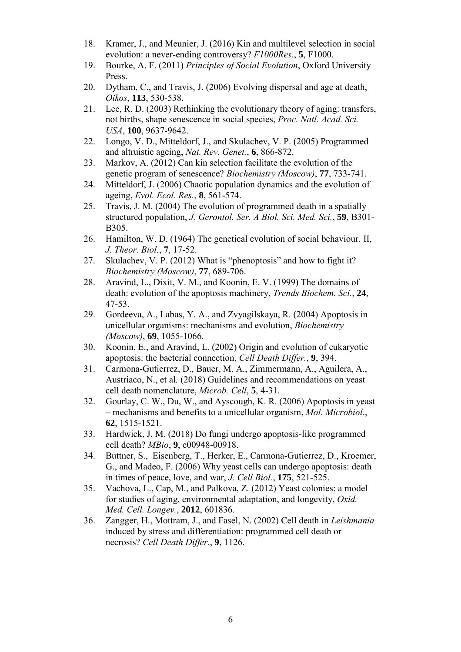- 18. Kramer, J., and Meunier, J. (2016) Kin and multilevel selection in social evolution: a never-ending controversy? *F1000Res.*, **5**, F1000.
- 19. Bourke, A. F. (2011) *Principles of Social Evolution*, Oxford University Press.
- 20. Dytham, C., and Travis, J. (2006) Evolving dispersal and age at death, *Oikos*, **113**, 530-538.
- 21. Lee, R. D. (2003) Rethinking the evolutionary theory of aging: transfers, not births, shape senescence in social species, *Proc. Natl. Acad. Sci. USA*, **100**, 9637-9642.
- 22. Longo, V. D., Mitteldorf, J., and Skulachev, V. P. (2005) Programmed and altruistic ageing, *Nat. Rev. Genet.*, **6**, 866-872.
- 23. Markov, A. (2012) Can kin selection facilitate the evolution of the genetic program of senescence? *Biochemistry (Moscow)*, **77**, 733-741.
- 24. Mitteldorf, J. (2006) Chaotic population dynamics and the evolution of ageing, *Evol. Ecol. Res.*, **8**, 561-574.
- 25. Travis, J. M. (2004) The evolution of programmed death in a spatially structured population, *J. Gerontol. Ser. A Biol. Sci. Med. Sci.*, **59**, B301- B305.
- 26. Hamilton, W. D. (1964) The genetical evolution of social behaviour. II, *J. Theor. Biol.*, **7**, 17-52.
- 27. Skulachev, V. P. (2012) What is "phenoptosis" and how to fight it? *Biochemistry (Moscow)*, **77**, 689-706.
- 28. Aravind, L., Dixit, V. M., and Koonin, E. V. (1999) The domains of death: evolution of the apoptosis machinery, *Trends Biochem. Sci.*, **24**, 47-53.
- 29. Gordeeva, A., Labas, Y. A., and Zvyagilskaya, R. (2004) Apoptosis in unicellular organisms: mechanisms and evolution, *Biochemistry (Moscow)*, **69**, 1055-1066.
- 30. Koonin, E., and Aravind, L. (2002) Origin and evolution of eukaryotic apoptosis: the bacterial connection, *Cell Death Differ.*, **9**, 394.
- 31. Carmona-Gutierrez, D., Bauer, M. A., Zimmermann, A., Aguilera, A., Austriaco, N., et al*.* (2018) Guidelines and recommendations on yeast cell death nomenclature, *Microb. Cell*, **5**, 4-31.
- 32. Gourlay, C. W., Du, W., and Ayscough, K. R. (2006) Apoptosis in yeast – mechanisms and benefits to a unicellular organism, *Mol. Microbiol.*, **62**, 1515-1521.
- 33. Hardwick, J. M. (2018) Do fungi undergo apoptosis-like programmed cell death? *MBio*, **9**, e00948-00918.
- 34. Buttner, S., Eisenberg, T., Herker, E., Carmona-Gutierrez, D., Kroemer, G., and Madeo, F. (2006) Why yeast cells can undergo apoptosis: death in times of peace, love, and war, *J. Cell Biol.*, **175**, 521-525.
- 35. Vachova, L., Cap, M., and Palkova, Z. (2012) Yeast colonies: a model for studies of aging, environmental adaptation, and longevity, *Oxid. Med. Cell. Longev.*, **2012**, 601836.
- 36. Zangger, H., Mottram, J., and Fasel, N. (2002) Cell death in *Leishmania* induced by stress and differentiation: programmed cell death or necrosis? *Cell Death Differ.*, **9**, 1126.